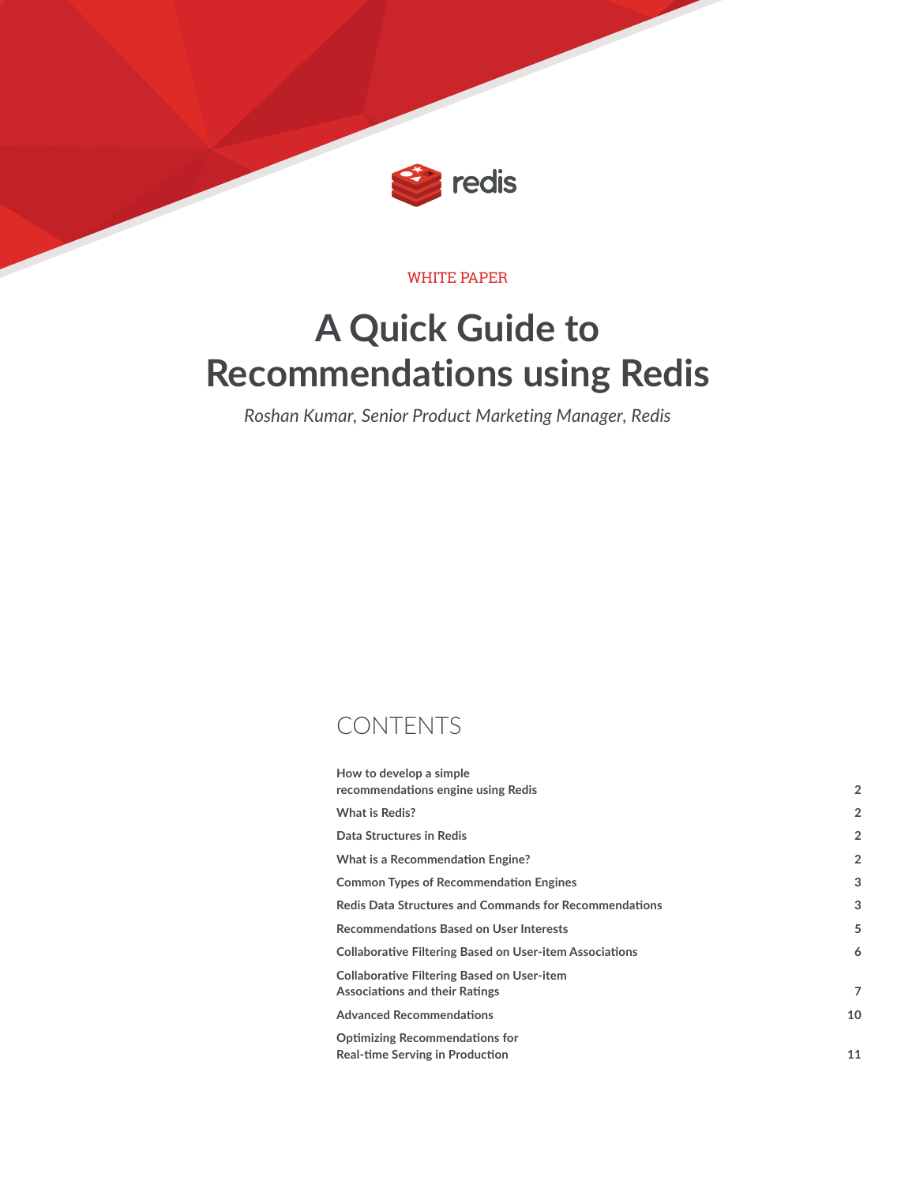

#### WHITE PAPER

# **A Quick Guide to Recommendations using Redis**

*Roshan Kumar, Senior Product Marketing Manager, Redis*

### CONTENTS

| How to develop a simple                                                      |                |
|------------------------------------------------------------------------------|----------------|
| recommendations engine using Redis                                           | $\overline{2}$ |
| What is Redis?                                                               | $\overline{2}$ |
| Data Structures in Redis                                                     | $\overline{2}$ |
| What is a Recommendation Engine?                                             | $\overline{2}$ |
| <b>Common Types of Recommendation Engines</b>                                | 3              |
| <b>Redis Data Structures and Commands for Recommendations</b>                | 3              |
| <b>Recommendations Based on User Interests</b>                               | 5              |
| <b>Collaborative Filtering Based on User-item Associations</b>               | 6              |
| Collaborative Filtering Based on User-item<br>Associations and their Ratings | 7              |
| <b>Advanced Recommendations</b>                                              | 10             |
| <b>Optimizing Recommendations for</b><br>Real-time Serving in Production     | 11             |
|                                                                              |                |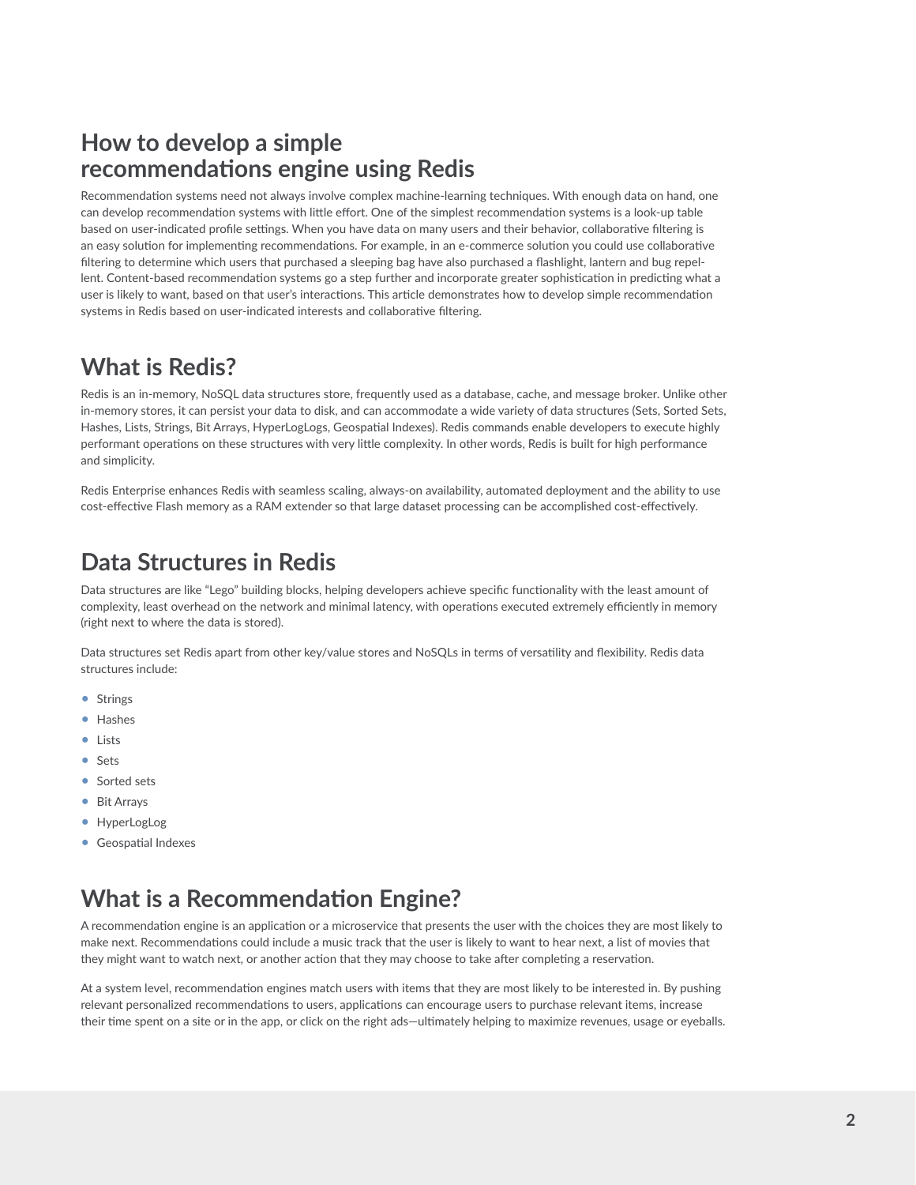### **How to develop a simple recommendations engine using Redis**

Recommendation systems need not always involve complex machine-learning techniques. With enough data on hand, one can develop recommendation systems with little effort. One of the simplest recommendation systems is a look-up table based on user-indicated profile settings. When you have data on many users and their behavior, collaborative filtering is an easy solution for implementing recommendations. For example, in an e-commerce solution you could use collaborative filtering to determine which users that purchased a sleeping bag have also purchased a flashlight, lantern and bug repellent. Content-based recommendation systems go a step further and incorporate greater sophistication in predicting what a user is likely to want, based on that user's interactions. This article demonstrates how to develop simple recommendation systems in Redis based on user-indicated interests and collaborative filtering.

# **What is Redis?**

Redis is an in-memory, NoSQL data structures store, frequently used as a database, cache, and message broker. Unlike other in-memory stores, it can persist your data to disk, and can accommodate a wide variety of data structures (Sets, Sorted Sets, Hashes, Lists, Strings, Bit Arrays, HyperLogLogs, Geospatial Indexes). Redis commands enable developers to execute highly performant operations on these structures with very little complexity. In other words, Redis is built for high performance and simplicity.

Redis Enterprise enhances Redis with seamless scaling, always-on availability, automated deployment and the ability to use cost-effective Flash memory as a RAM extender so that large dataset processing can be accomplished cost-effectively.

# **Data Structures in Redis**

Data structures are like "Lego" building blocks, helping developers achieve specific functionality with the least amount of complexity, least overhead on the network and minimal latency, with operations executed extremely efficiently in memory (right next to where the data is stored).

Data structures set Redis apart from other key/value stores and NoSQLs in terms of versatility and flexibility. Redis data structures include:

- Strings
- Hashes
- Lists
- Sets
- Sorted sets
- Bit Arrays
- HyperLogLog
- Geospatial Indexes

# **What is a Recommendation Engine?**

A recommendation engine is an application or a microservice that presents the user with the choices they are most likely to make next. Recommendations could include a music track that the user is likely to want to hear next, a list of movies that they might want to watch next, or another action that they may choose to take after completing a reservation.

At a system level, recommendation engines match users with items that they are most likely to be interested in. By pushing relevant personalized recommendations to users, applications can encourage users to purchase relevant items, increase their time spent on a site or in the app, or click on the right ads—ultimately helping to maximize revenues, usage or eyeballs.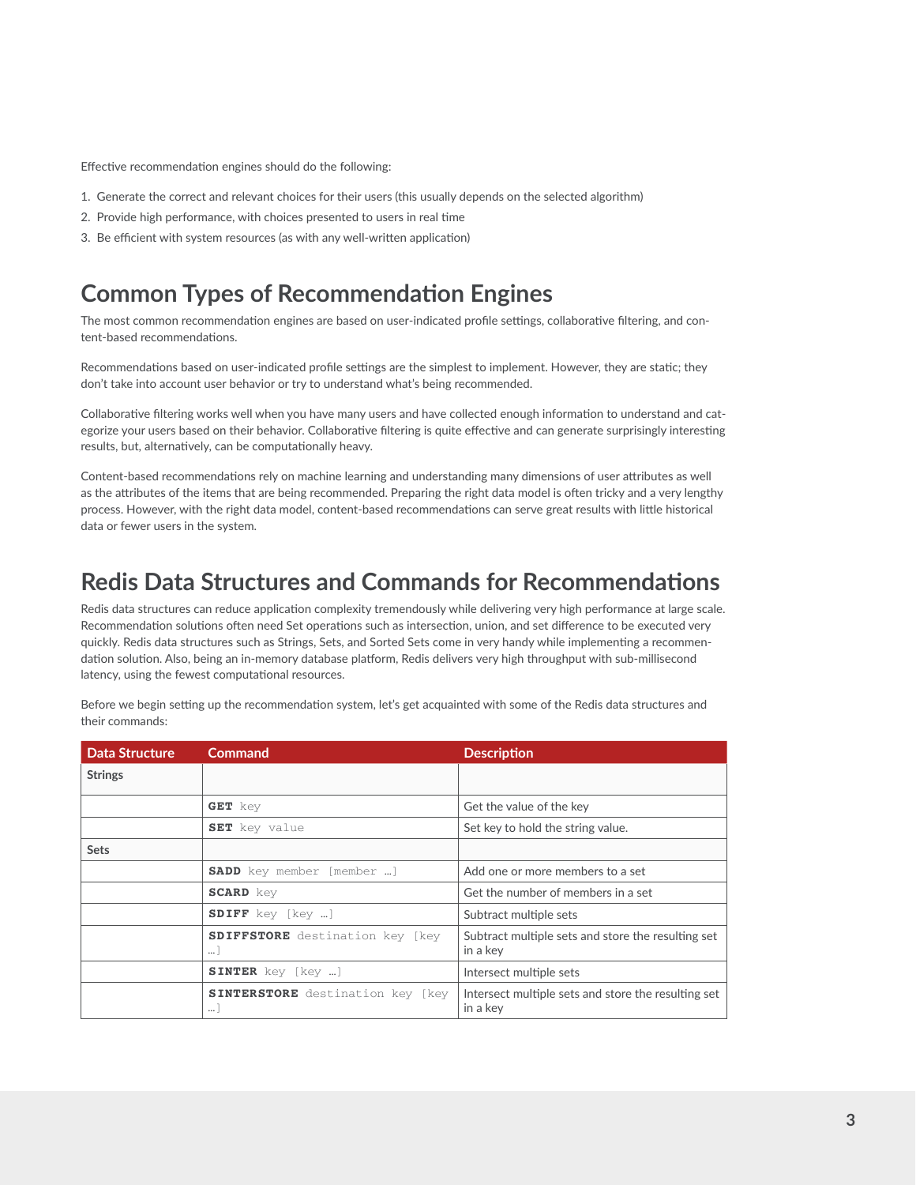Effective recommendation engines should do the following:

- 1. Generate the correct and relevant choices for their users (this usually depends on the selected algorithm)
- 2. Provide high performance, with choices presented to users in real time
- 3. Be efficient with system resources (as with any well-written application)

### **Common Types of Recommendation Engines**

The most common recommendation engines are based on user-indicated profile settings, collaborative filtering, and content-based recommendations.

Recommendations based on user-indicated profile settings are the simplest to implement. However, they are static; they don't take into account user behavior or try to understand what's being recommended.

Collaborative filtering works well when you have many users and have collected enough information to understand and categorize your users based on their behavior. Collaborative filtering is quite effective and can generate surprisingly interesting results, but, alternatively, can be computationally heavy.

Content-based recommendations rely on machine learning and understanding many dimensions of user attributes as well as the attributes of the items that are being recommended. Preparing the right data model is often tricky and a very lengthy process. However, with the right data model, content-based recommendations can serve great results with little historical data or fewer users in the system.

### **Redis Data Structures and Commands for Recommendations**

Redis data structures can reduce application complexity tremendously while delivering very high performance at large scale. Recommendation solutions often need Set operations such as intersection, union, and set difference to be executed very quickly. Redis data structures such as Strings, Sets, and Sorted Sets come in very handy while implementing a recommendation solution. Also, being an in-memory database platform, Redis delivers very high throughput with sub-millisecond latency, using the fewest computational resources.

Before we begin setting up the recommendation system, let's get acquainted with some of the Redis data structures and their commands:

| <b>Data Structure</b> | Command                                             | <b>Description</b>                                              |
|-----------------------|-----------------------------------------------------|-----------------------------------------------------------------|
| <b>Strings</b>        |                                                     |                                                                 |
|                       | <b>GET</b> key                                      | Get the value of the key                                        |
|                       | SET key value                                       | Set key to hold the string value.                               |
| <b>Sets</b>           |                                                     |                                                                 |
|                       | <b>SADD</b> key member [member ]                    | Add one or more members to a set                                |
|                       | <b>SCARD</b> key                                    | Get the number of members in a set                              |
|                       | <b>SDIFF</b> key [key ]                             | Subtract multiple sets                                          |
|                       | <b>SDIFFSTORE</b> destination key [key<br>$\cdots$  | Subtract multiple sets and store the resulting set<br>in a key  |
|                       | <b>SINTER</b> key [key ]                            | Intersect multiple sets                                         |
|                       | <b>SINTERSTORE</b> destination key [key<br>$\cdots$ | Intersect multiple sets and store the resulting set<br>in a key |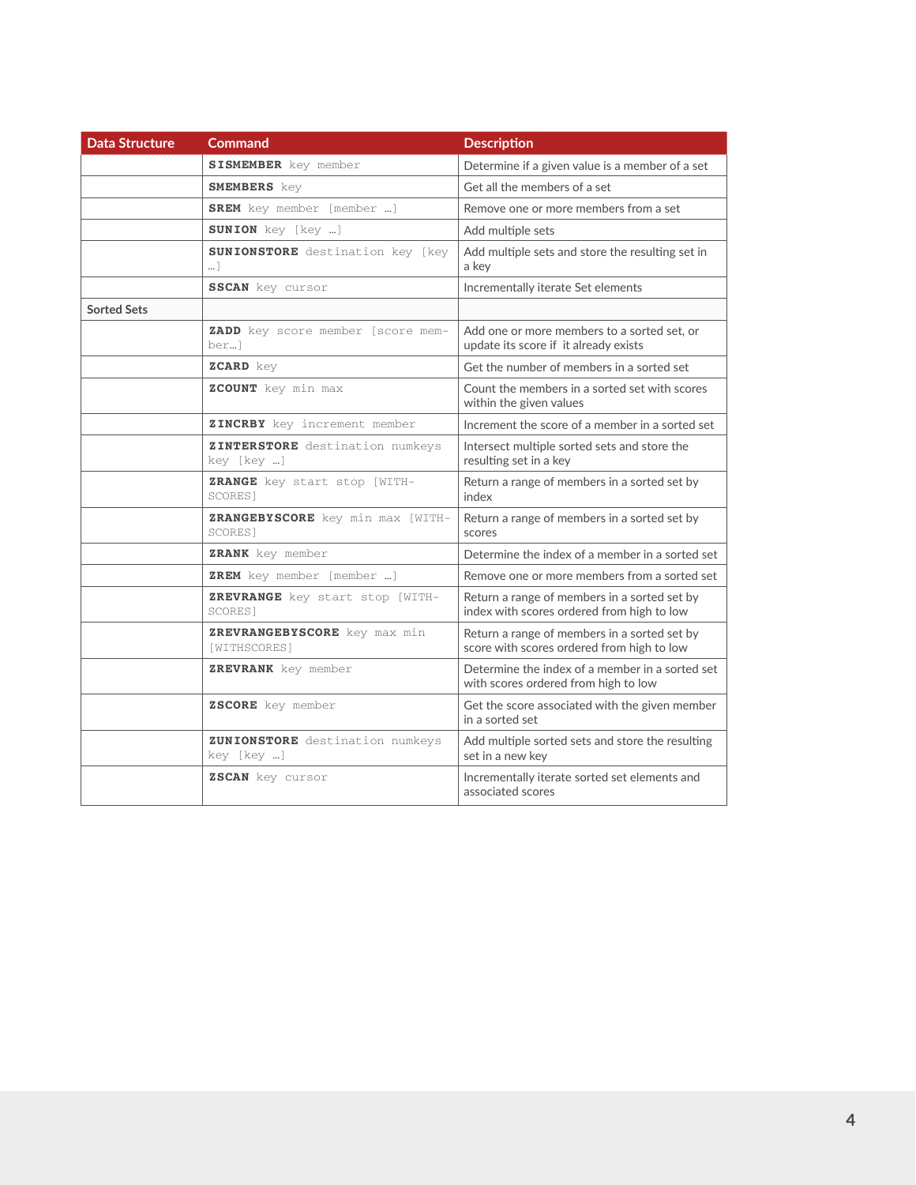| <b>Data Structure</b> | <b>Command</b>                                 | <b>Description</b>                                                                         |
|-----------------------|------------------------------------------------|--------------------------------------------------------------------------------------------|
|                       | <b>SISMEMBER</b> key member                    | Determine if a given value is a member of a set                                            |
|                       | <b>SMEMBERS</b> key                            | Get all the members of a set                                                               |
|                       | <b>SREM</b> key member [member ]               | Remove one or more members from a set                                                      |
|                       | <b>SUNION</b> key [key ]                       | Add multiple sets                                                                          |
|                       | <b>SUNIONSTORE</b> destination key [key<br>1   | Add multiple sets and store the resulting set in<br>a key                                  |
|                       | <b>SSCAN</b> key cursor                        | Incrementally iterate Set elements                                                         |
| <b>Sorted Sets</b>    |                                                |                                                                                            |
|                       | ZADD key score member [score mem-<br>ber]      | Add one or more members to a sorted set, or<br>update its score if it already exists       |
|                       | ZCARD key                                      | Get the number of members in a sorted set                                                  |
|                       | ZCOUNT key min max                             | Count the members in a sorted set with scores<br>within the given values                   |
|                       | ZINCRBY key increment member                   | Increment the score of a member in a sorted set                                            |
|                       | ZINTERSTORE destination numkeys<br>key [key ]  | Intersect multiple sorted sets and store the<br>resulting set in a key                     |
|                       | <b>ZRANGE</b> key start stop [WITH-<br>SCORES] | Return a range of members in a sorted set by<br>index                                      |
|                       | ZRANGEBYSCORE key min max [WITH-<br>SCORES]    | Return a range of members in a sorted set by<br>scores                                     |
|                       | ZRANK key member                               | Determine the index of a member in a sorted set                                            |
|                       | <b>ZREM</b> key member [member ]               | Remove one or more members from a sorted set                                               |
|                       | ZREVRANGE key start stop [WITH-<br>SCORES]     | Return a range of members in a sorted set by<br>index with scores ordered from high to low |
|                       | ZREVRANGEBYSCORE key max min<br>[WITHSCORES]   | Return a range of members in a sorted set by<br>score with scores ordered from high to low |
|                       | ZREVRANK key member                            | Determine the index of a member in a sorted set<br>with scores ordered from high to low    |
|                       | ZSCORE key member                              | Get the score associated with the given member<br>in a sorted set                          |
|                       | ZUNIONSTORE destination numkeys<br>key [key ]  | Add multiple sorted sets and store the resulting<br>set in a new key                       |
|                       | ZSCAN key cursor                               | Incrementally iterate sorted set elements and<br>associated scores                         |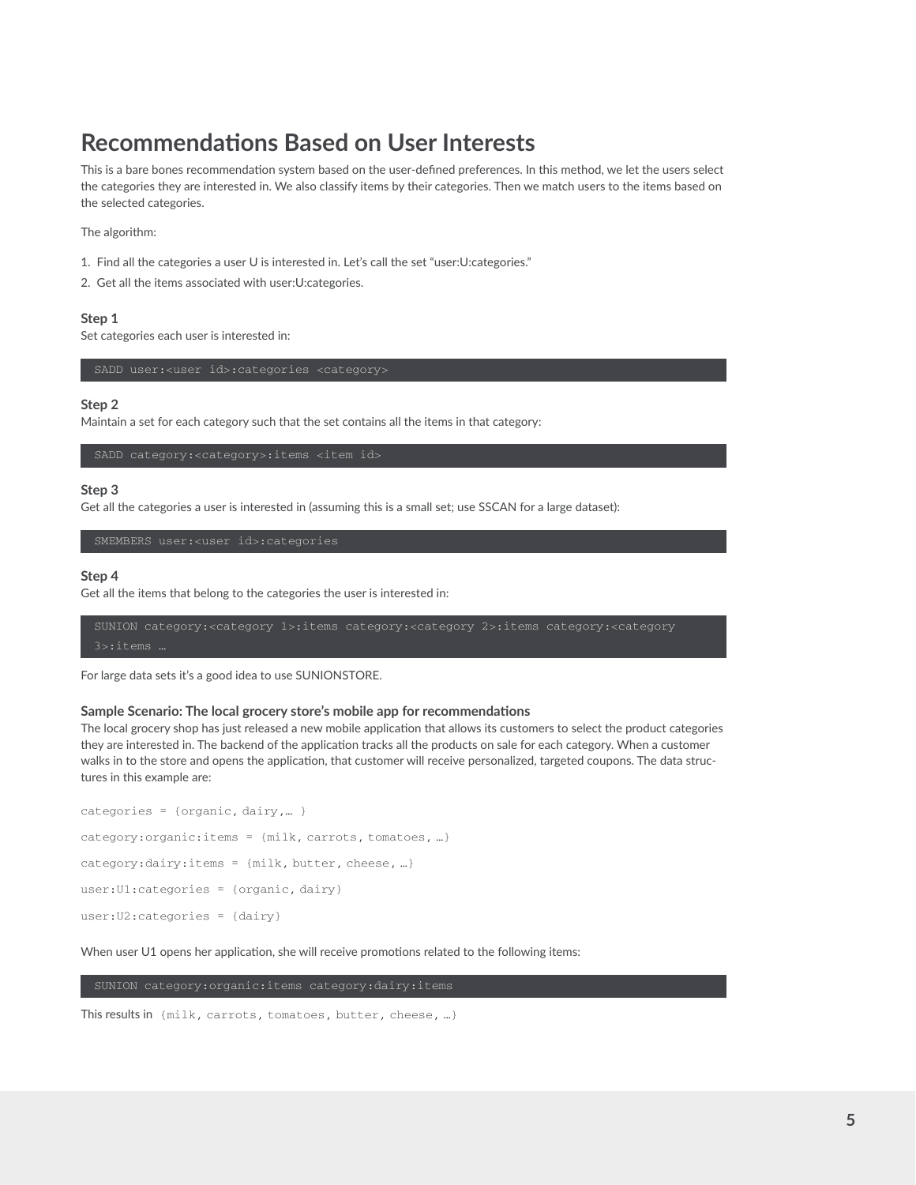# **Recommendations Based on User Interests**

This is a bare bones recommendation system based on the user-defined preferences. In this method, we let the users select the categories they are interested in. We also classify items by their categories. Then we match users to the items based on the selected categories.

The algorithm:

- 1. Find all the categories a user U is interested in. Let's call the set "user:U:categories."
- 2. Get all the items associated with user:U:categories.

#### **Step 1**

Set categories each user is interested in:

#### **Step 2**

Maintain a set for each category such that the set contains all the items in that category:

#### **Step 3**

Get all the categories a user is interested in (assuming this is a small set; use SSCAN for a large dataset):

SMEMBERS user:<user id>:categories

#### **Step 4**

Get all the items that belong to the categories the user is interested in:

```
SUNION category:<category 1>:items category:<category 2>:items category:<category
```
For large data sets it's a good idea to use SUNIONSTORE.

#### **Sample Scenario: The local grocery store's mobile app for recommendations**

The local grocery shop has just released a new mobile application that allows its customers to select the product categories they are interested in. The backend of the application tracks all the products on sale for each category. When a customer walks in to the store and opens the application, that customer will receive personalized, targeted coupons. The data structures in this example are:

```
categories = {organic, dairy,… }
category:organic:items = {milk, carrots, tomatoes, …}
category:dairy:items = {milk, butter, cheese, …}
user:U1:categories = {organic, dairy}
user:U2:categories = {dairy}
```
When user U1 opens her application, she will receive promotions related to the following items:

This results in {milk, carrots, tomatoes, butter, cheese, …}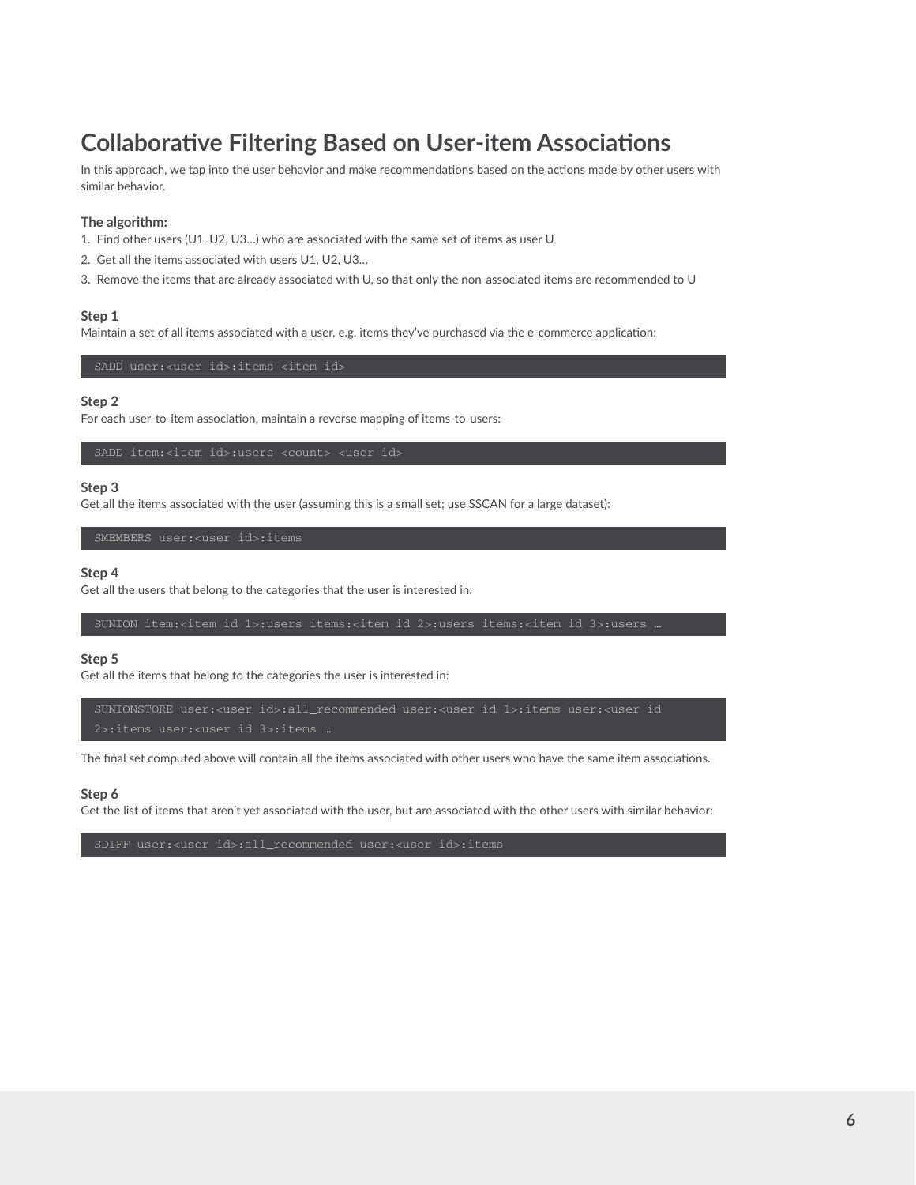# **Collaborative Filtering Based on User-item Associations**

In this approach, we tap into the user behavior and make recommendations based on the actions made by other users with similar behavior.

#### **The algorithm:**

- 1. Find other users (U1, U2, U3…) who are associated with the same set of items as user U
- 2. Get all the items associated with users U1, U2, U3…
- 3. Remove the items that are already associated with U, so that only the non-associated items are recommended to U

#### **Step 1**

Maintain a set of all items associated with a user, e.g. items they've purchased via the e-commerce application:

#### **Step 2**

For each user-to-item association, maintain a reverse mapping of items-to-users:

#### **Step 3**

Get all the items associated with the user (assuming this is a small set; use SSCAN for a large dataset):

#### **Step 4**

Get all the users that belong to the categories that the user is interested in:

#### **Step 5**

Get all the items that belong to the categories the user is interested in:

SUNIONSTORE user:<user id>:all\_recommended user:<user id 1>:items user:<user id

The final set computed above will contain all the items associated with other users who have the same item associations.

#### **Step 6**

Get the list of items that aren't yet associated with the user, but are associated with the other users with similar behavior: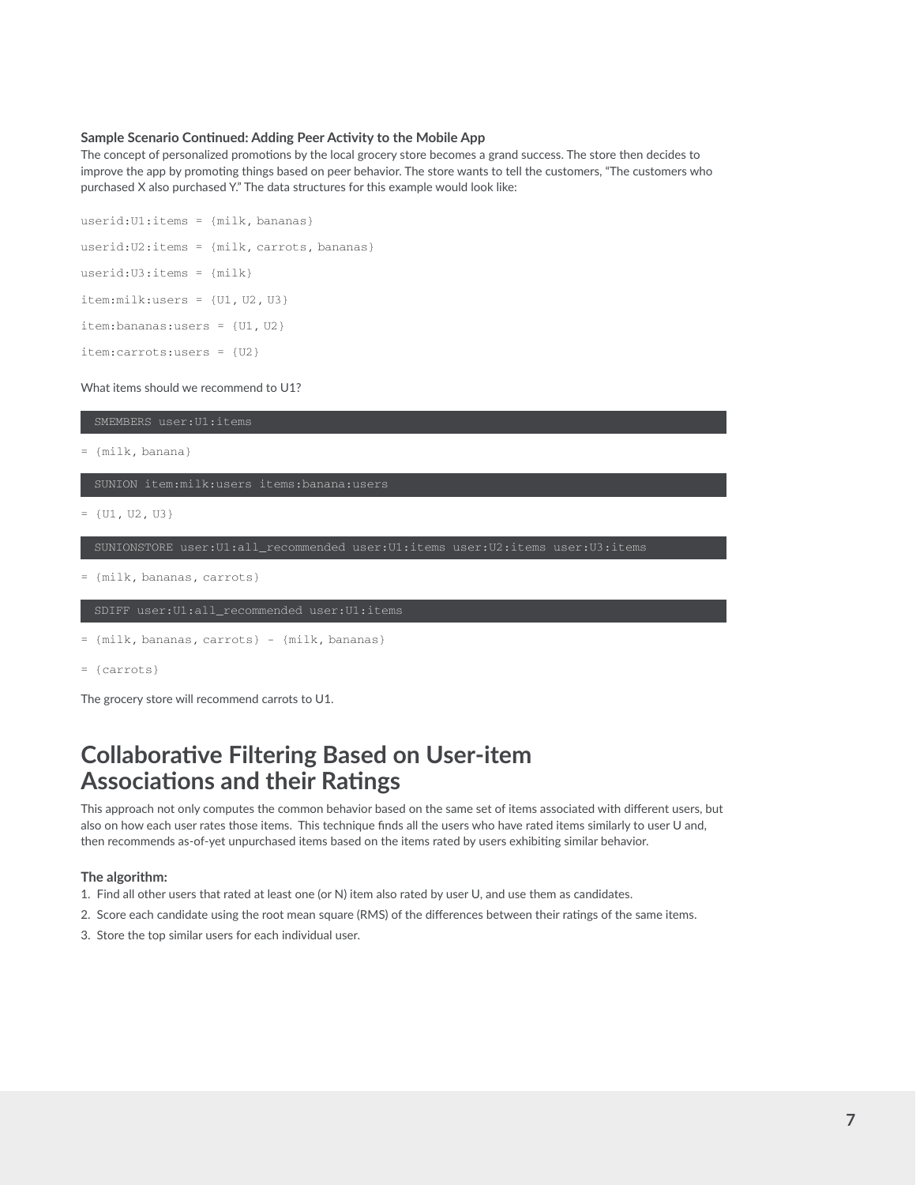#### **Sample Scenario Continued: Adding Peer Activity to the Mobile App**

The concept of personalized promotions by the local grocery store becomes a grand success. The store then decides to improve the app by promoting things based on peer behavior. The store wants to tell the customers, "The customers who purchased X also purchased Y." The data structures for this example would look like:

```
userid:U1:items = {milk, bananas} 
userid:U2:items = {milk, carrots, bananas}
userid:U3:items = {milk}
item:milk:users = {U1, U2, U3}
item:bananas:users = {U1, U2}
item:carrots:users = {U2}
```
What items should we recommend to U1?

= {milk, banana}

 $= \{U1, U2, U3\}$ 

SUNIONSTORE user:U1:all\_recommended user:U1:items user:U2:items user:U3:items

= {milk, bananas, carrots}

```
= {milk, bananas, carrots} - {milk, bananas}
```
= {carrots}

The grocery store will recommend carrots to U1.

### **Collaborative Filtering Based on User-item Associations and their Ratings**

This approach not only computes the common behavior based on the same set of items associated with different users, but also on how each user rates those items. This technique finds all the users who have rated items similarly to user U and, then recommends as-of-yet unpurchased items based on the items rated by users exhibiting similar behavior.

#### **The algorithm:**

- 1. Find all other users that rated at least one (or N) item also rated by user U, and use them as candidates.
- 2. Score each candidate using the root mean square (RMS) of the differences between their ratings of the same items.
- 3. Store the top similar users for each individual user.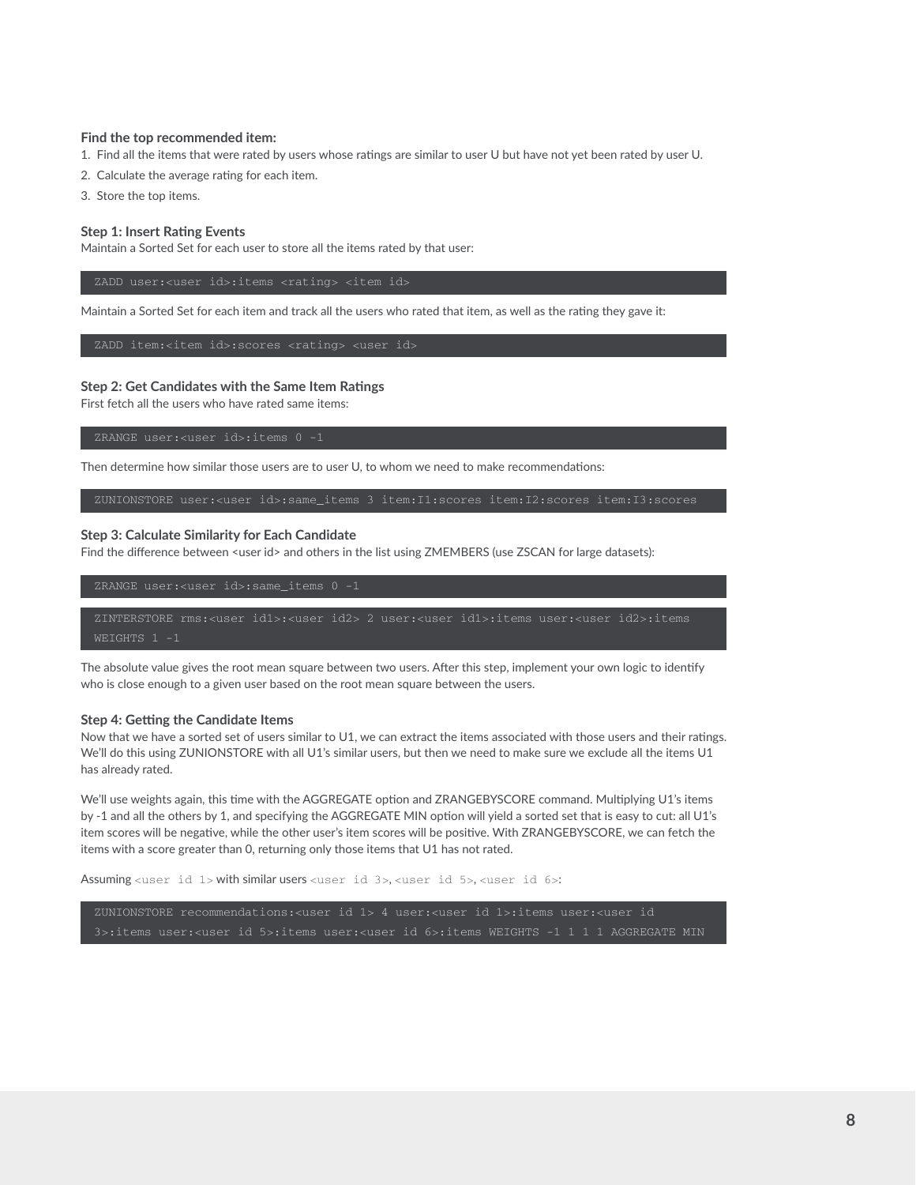#### **Find the top recommended item:**

1. Find all the items that were rated by users whose ratings are similar to user U but have not yet been rated by user U.

- 2. Calculate the average rating for each item.
- 3. Store the top items.

#### **Step 1: Insert Rating Events**

Maintain a Sorted Set for each user to store all the items rated by that user:

Maintain a Sorted Set for each item and track all the users who rated that item, as well as the rating they gave it:

#### **Step 2: Get Candidates with the Same Item Ratings**

First fetch all the users who have rated same items:

Then determine how similar those users are to user U, to whom we need to make recommendations:

ZUNIONSTORE user:<user id>:same\_items 3 item:I1:scores item:I2:scores item:I3:scores

#### **Step 3: Calculate Similarity for Each Candidate**

Find the difference between <user id> and others in the list using ZMEMBERS (use ZSCAN for large datasets):

ZINTERSTORE rms:<user id1>:<user id2> 2 user:<user id1>:items user:<user id2>:items

The absolute value gives the root mean square between two users. After this step, implement your own logic to identify who is close enough to a given user based on the root mean square between the users.

#### **Step 4: Getting the Candidate Items**

Now that we have a sorted set of users similar to U1, we can extract the items associated with those users and their ratings. We'll do this using ZUNIONSTORE with all U1's similar users, but then we need to make sure we exclude all the items U1 has already rated.

We'll use weights again, this time with the AGGREGATE option and ZRANGEBYSCORE command. Multiplying U1's items by -1 and all the others by 1, and specifying the AGGREGATE MIN option will yield a sorted set that is easy to cut: all U1's item scores will be negative, while the other user's item scores will be positive. With ZRANGEBYSCORE, we can fetch the items with a score greater than 0, returning only those items that U1 has not rated.

Assuming <user id 1> with similar users <user id 3>, <user id 5>, <user id 6>:

ZUNIONSTORE recommendations:<user id 1> 4 user:<user id 1>:items user:<user id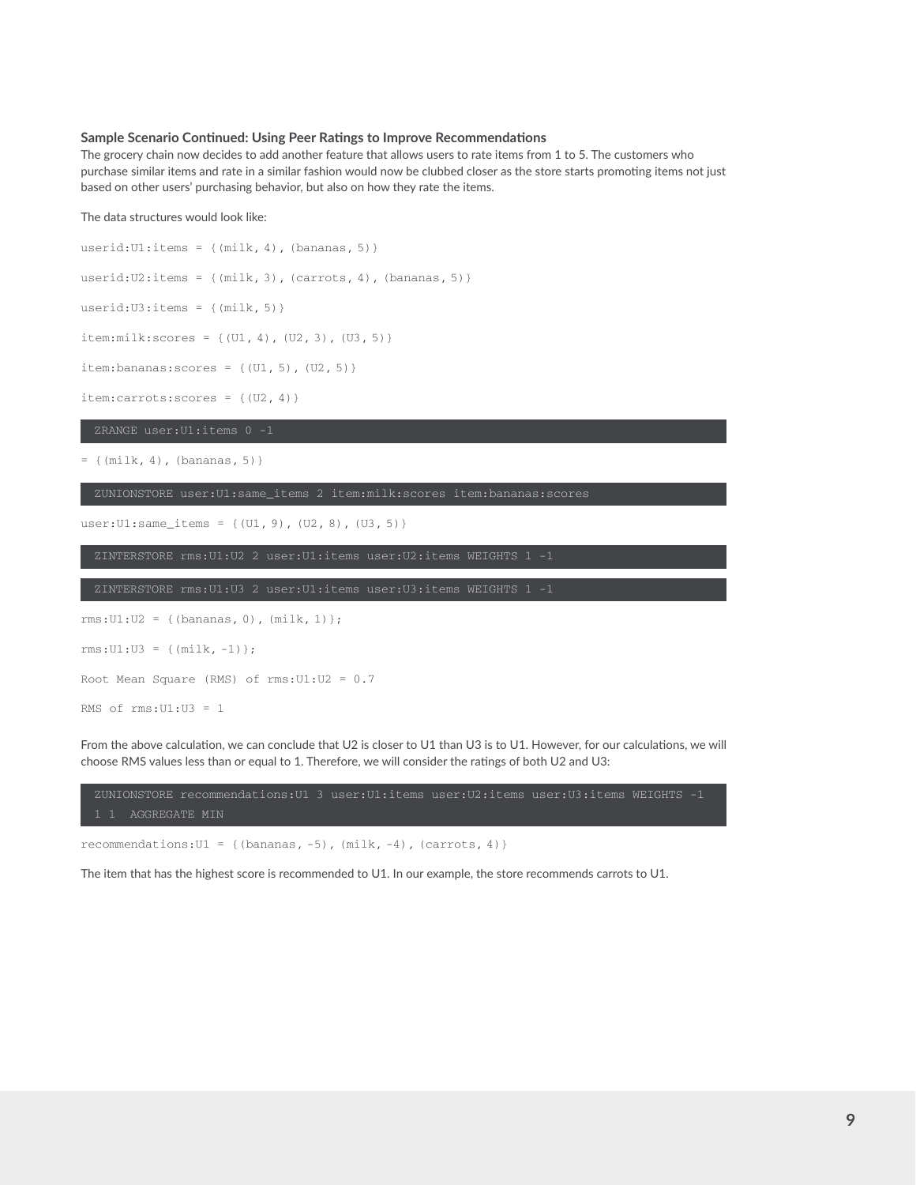#### **Sample Scenario Continued: Using Peer Ratings to Improve Recommendations**

The grocery chain now decides to add another feature that allows users to rate items from 1 to 5. The customers who purchase similar items and rate in a similar fashion would now be clubbed closer as the store starts promoting items not just based on other users' purchasing behavior, but also on how they rate the items.

#### The data structures would look like:

userid:U1:items =  $\{(\text{milk}, 4), (\text{bananas}, 5)\}\$ userid:  $U2$ : items = {(milk, 3), (carrots, 4), (bananas, 5)} userid: $U3$ :items = {(milk, 5)}  $item: milk: scores = \{(U1, 4), (U2, 3), (U3, 5)\}$ item: bananas: scores =  $\{ (U1, 5), (U2, 5) \}$ item:carrots:scores = {(U2, 4)}

ZRANGE user:U1:items 0 -1

= {(milk, 4), (bananas, 5)}

ZUNIONSTORE user:U1:same\_items 2 item:milk:scores item:bananas:scores

user:U1:same\_items = {(U1, 9), (U2, 8), (U3, 5)}

ZINTERSTORE rms:U1:U2 2 user:U1:items user:U2:items WEIGHTS 1 -1

ZINTERSTORE rms:U1:U3 2 user:U1:items user:U3:items WEIGHTS 1 -1

```
rms:U1:U2 = {(bananas, 0), (milk, 1)}; 
rms:U1:U3 = {(milk, -1)};Root Mean Square (RMS) of rms:U1:U2 = 0.7
RMS of rms:U1:U3 = 1
```
From the above calculation, we can conclude that U2 is closer to U1 than U3 is to U1. However, for our calculations, we will choose RMS values less than or equal to 1. Therefore, we will consider the ratings of both U2 and U3:

ZUNIONSTORE recommendations:U1 3 user:U1:items user:U2:items user:U3:items WEIGHTS -1 1 1 AGGREGATE MIN

recommendations:U1 = {(bananas, -5), (milk, -4), (carrots, 4)}

The item that has the highest score is recommended to U1. In our example, the store recommends carrots to U1.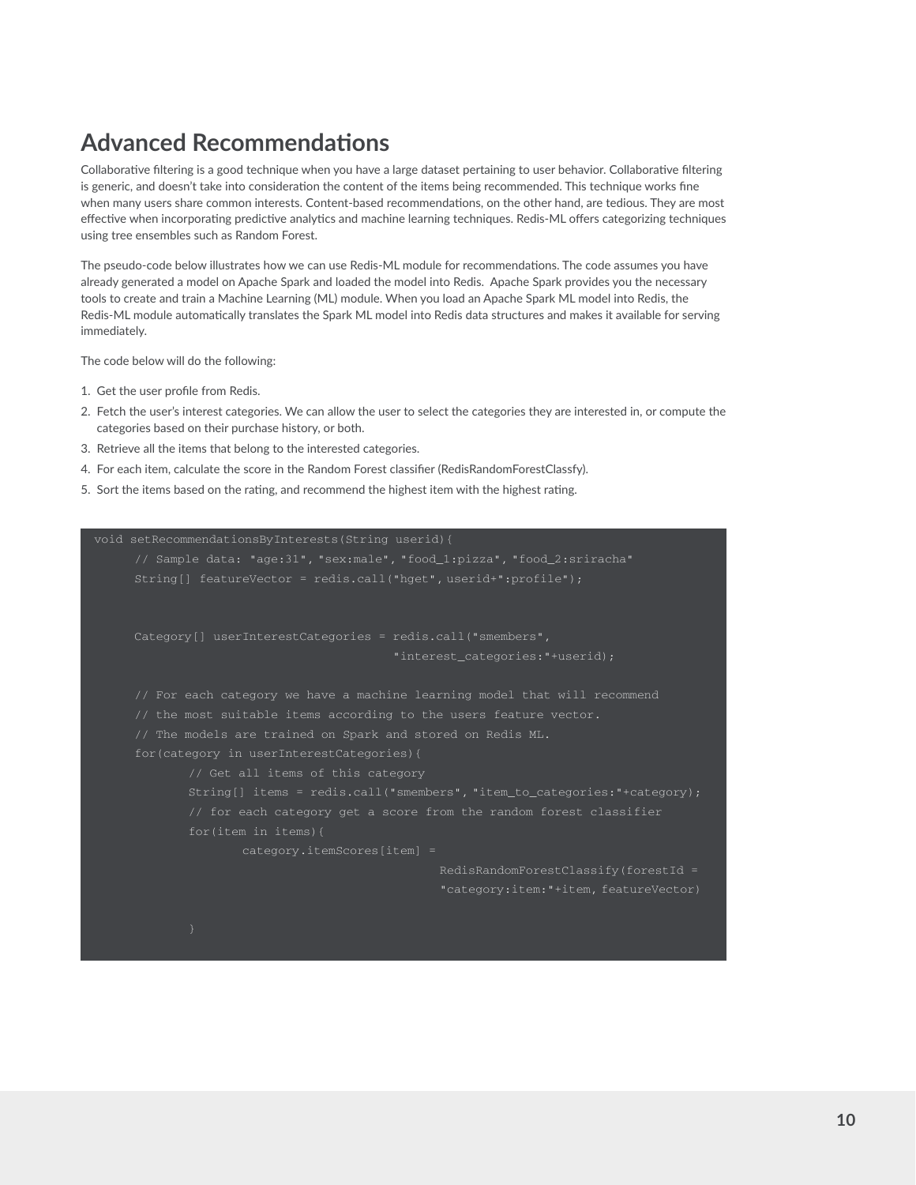# **Advanced Recommendations**

Collaborative filtering is a good technique when you have a large dataset pertaining to user behavior. Collaborative filtering is generic, and doesn't take into consideration the content of the items being recommended. This technique works fine when many users share common interests. Content-based recommendations, on the other hand, are tedious. They are most effective when incorporating predictive analytics and machine learning techniques. Redis-ML offers categorizing techniques using tree ensembles such as Random Forest.

The pseudo-code below illustrates how we can use Redis-ML module for recommendations. The code assumes you have already generated a model on Apache Spark and loaded the model into Redis. Apache Spark provides you the necessary tools to create and train a Machine Learning (ML) module. When you load an Apache Spark ML model into Redis, the Redis-ML module automatically translates the Spark ML model into Redis data structures and makes it available for serving immediately.

The code below will do the following:

- 1. Get the user profile from Redis.
- 2. Fetch the user's interest categories. We can allow the user to select the categories they are interested in, or compute the categories based on their purchase history, or both.
- 3. Retrieve all the items that belong to the interested categories.
- 4. For each item, calculate the score in the Random Forest classifier (RedisRandomForestClassfy).
- 5. Sort the items based on the rating, and recommend the highest item with the highest rating.

```
void setRecommendationsByInterests(String userid){ 
     // Sample data: "age:31", "sex:male", "food_1:pizza", "food_2:sriracha" 
     String[] featureVector = redis.call("hget", userid+":profile"); 
     Category[] userInterestCategories = redis.call("smembers",
                                           "interest_categories:"+userid);
     // For each category we have a machine learning model that will recommend
      // The models are trained on Spark and stored on Redis ML. 
     for(category in userInterestCategories){
             // Get all items of this category 
             String[] items = redis.call("smembers", "item_to_categories:"+category); 
             // for each category get a score from the random forest classifier
                     category.itemScores[item] = 
                                                 RedisRandomForestClassify(forestId = 
                                                 "category:item:"+item, featureVector)
```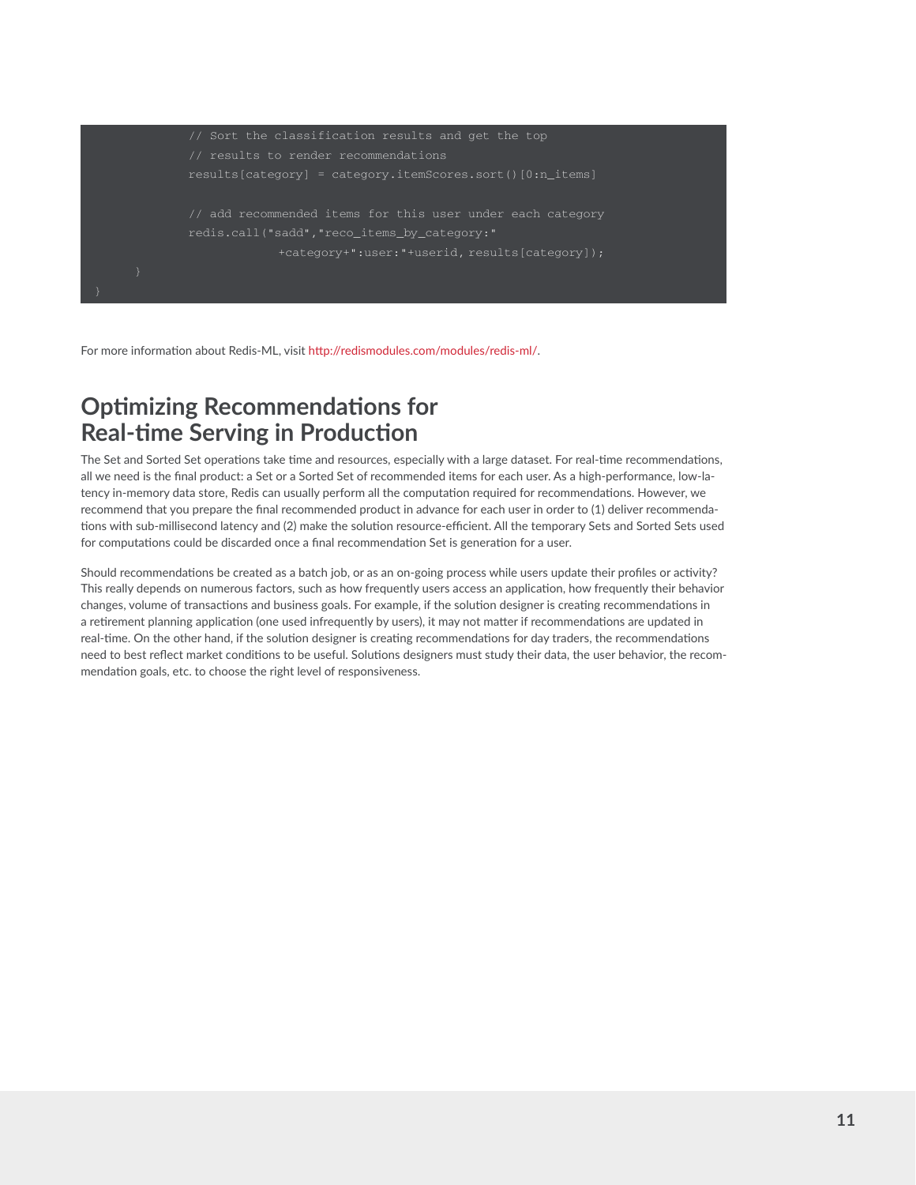

For more information about Redis-ML, visit http://redismodules.com/modules/redis-ml/.

### **Optimizing Recommendations for Real-time Serving in Production**

The Set and Sorted Set operations take time and resources, especially with a large dataset. For real-time recommendations, all we need is the final product: a Set or a Sorted Set of recommended items for each user. As a high-performance, low-latency in-memory data store, Redis can usually perform all the computation required for recommendations. However, we recommend that you prepare the final recommended product in advance for each user in order to (1) deliver recommendations with sub-millisecond latency and (2) make the solution resource-efficient. All the temporary Sets and Sorted Sets used for computations could be discarded once a final recommendation Set is generation for a user.

Should recommendations be created as a batch job, or as an on-going process while users update their profiles or activity? This really depends on numerous factors, such as how frequently users access an application, how frequently their behavior changes, volume of transactions and business goals. For example, if the solution designer is creating recommendations in a retirement planning application (one used infrequently by users), it may not matter if recommendations are updated in real-time. On the other hand, if the solution designer is creating recommendations for day traders, the recommendations need to best reflect market conditions to be useful. Solutions designers must study their data, the user behavior, the recommendation goals, etc. to choose the right level of responsiveness.